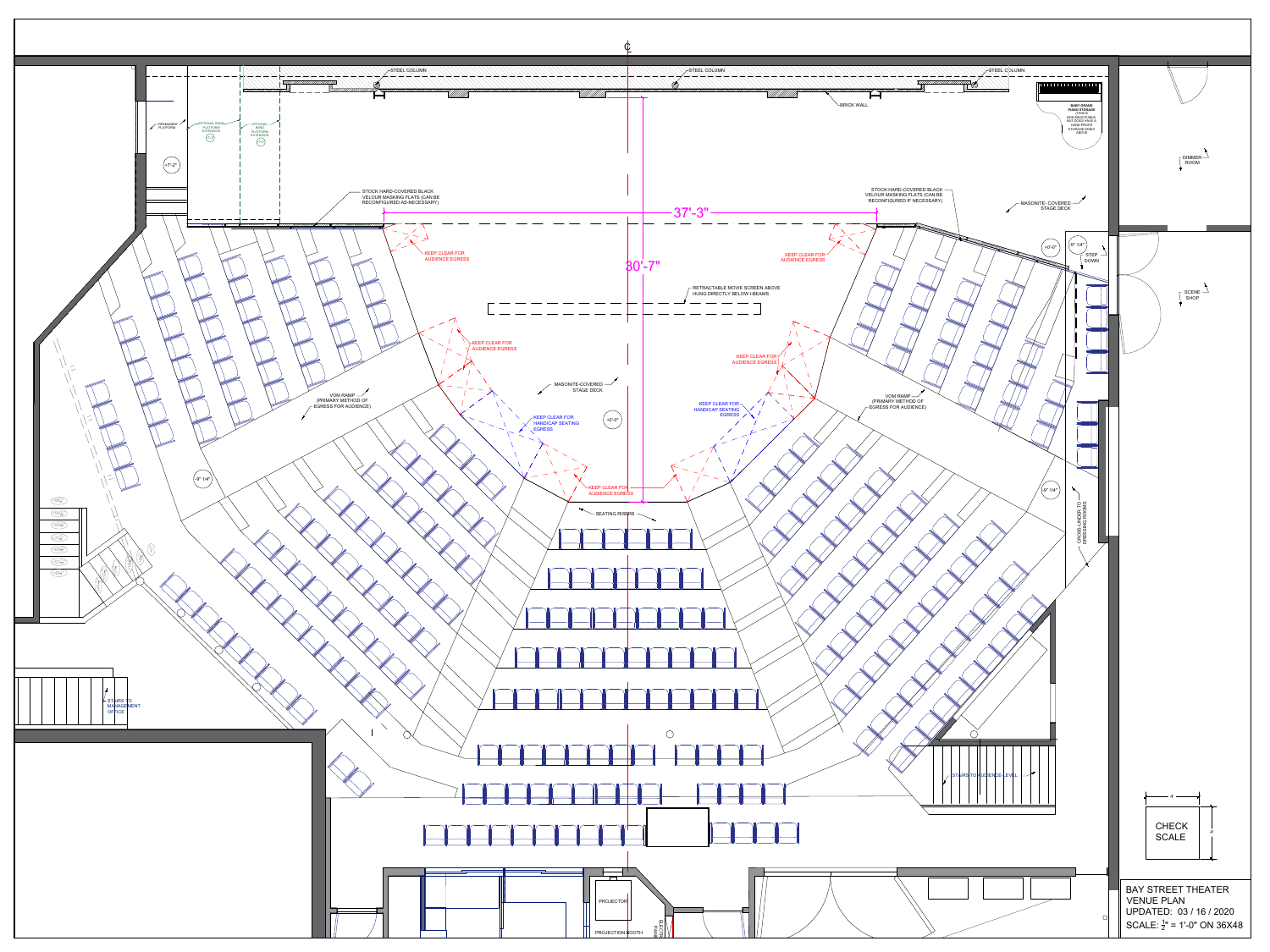